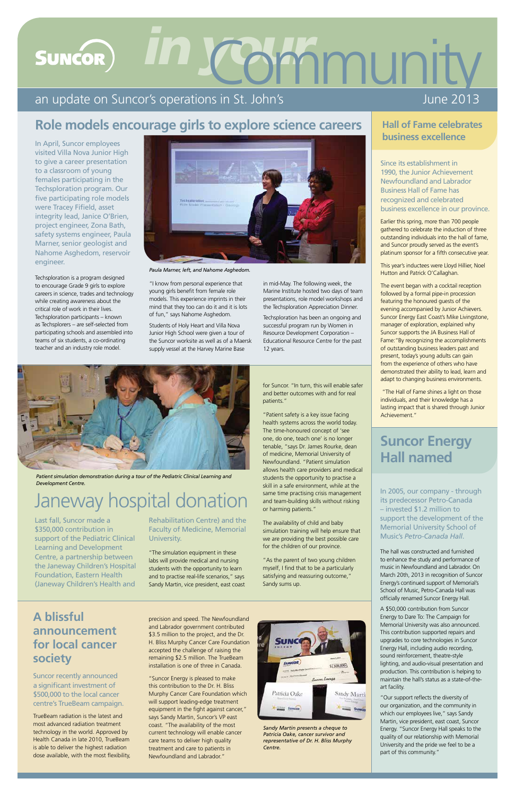"I know from personal experience that young girls benefit from female role models. This experience imprints in their mind that they too can do it and it is lots of fun," says Nahome Asghedom.

Students of Holy Heart and Villa Nova Junior High School were given a tour of the Suncor worksite as well as of a Maersk supply vessel at the Harvey Marine Base

in mid-May. The following week, the Marine Institute hosted two days of team presentations, role model workshops and the Techsploration Appreciation Dinner.

Techsploration has been an ongoing and successful program run by Women in Resource Development Corporation – Educational Resource Centre for the past 12 years.



In April, Suncor employees visited Villa Nova Junior High to give a career presentation to a classroom of young females participating in the Techsploration program. Our five participating role models were Tracey Fifield, asset integrity lead, Janice O'Brien, project engineer, Zona Bath, safety systems engineer, Paula Marner, senior geologist and Nahome Asghedom, reservoir engineer.

 centre's TrueBeam campaign. Suncor recently announced a significant investment of \$500,000 to the local cancer

TrueBeam radiation is the latest and most advanced radiation treatment technology in the world. Approved by Health Canada in late 2010, TrueBeam is able to deliver the highest radiation dose available, with the most flexibility,

Earlier this spring, more than 700 people gathered to celebrate the induction of three outstanding individuals into the hall of fame, and Suncor proudly served as the event's platinum sponsor for a fifth consecutive year.

Techsploration is a program designed to encourage Grade 9 girls to explore careers in science, trades and technology while creating awareness about the critical role of work in their lives. Techsploration participants – known as Techsplorers – are self-selected from participating schools and assembled into teams of six students, a co-ordinating teacher and an industry role model.

*Patient simulation demonstration during a tour of the Pediatric Clinical Learning and Development Centre.* 



*Paula Marner, left, and Nahome Asghedom.* 

Last fall, Suncor made a \$350,000 contribution in support of the Pediatric Clinical Learning and Development Centre, a partnership between the Janeway Children's Hospital Foundation, Eastern Health (Janeway Children's Health and

#### **society A blissful announcement for local cancer**

Since its establishment in 1990, the Junior Achievement Newfoundland and Labrador Business Hall of Fame has recognized and celebrated business excellence in our province.

This year's inductees were Lloyd Hillier, Noel Hutton and Patrick O'Callaghan.

The hall was constructed and furnished to enhance the study and performance of music in Newfoundland and Labrador. On March 20th, 2013 in recognition of Suncor Energy's continued support of Memorial's School of Music, Petro-Canada Hall was officially renamed Suncor Energy Hall.

The event began with a cocktail reception followed by a formal pipe-in procession featuring the honoured guests of the evening accompanied by Junior Achievers. Suncor Energy East Coast's Mike Livingstone, manager of exploration, explained why Suncor supports the JA Business Hall of Fame:"By recognizing the accomplishments of outstanding business leaders past and present, today's young adults can gain from the experience of others who have demonstrated their ability to lead, learn and adapt to changing business environments.

 "The Hall of Fame shines a light on those individuals, and their knowledge has a lasting impact that is shared through Junior Achievement."

"Our support reflects the diversity of our organization, and the community in which our employees live," says Sandy Martin, vice president, east coast, Suncor Energy. "Suncor Energy Hall speaks to the quality of our relationship with Memorial University and the pride we feel to be a part of this community."

# *in your munity* **SUNCOR**

#### an update on Suncor's operations in St. John's

Rehabilitation Centre) and the Faculty of Medicine, Memorial University.

"The simulation equipment in these labs will provide medical and nursing students with the opportunity to learn and to practise real-life scenarios," says Sandy Martin, vice president, east coast

precision and speed. The Newfoundland and Labrador government contributed \$3.5 million to the project, and the Dr. H. Bliss Murphy Cancer Care Foundation accepted the challenge of raising the remaining \$2.5 million. The TrueBeam installation is one of three in Canada.

"Suncor Energy is pleased to make this contribution to the Dr. H. Bliss Murphy Cancer Care Foundation which will support leading-edge treatment equipment in the fight against cancer," says Sandy Martin, Suncor's VP east coast. "The availability of the most current technology will enable cancer care teams to deliver high quality treatment and care to patients in Newfoundland and Labrador."



# Janeway hospital donation

for Suncor. "In turn, this will enable safer and better outcomes with and for real patients."

"Patient safety is a key issue facing health systems across the world today. The time-honoured concept of 'see one, do one, teach one' is no longer tenable, "says Dr. James Rourke, dean of medicine, Memorial University of Newfoundland. "Patient simulation allows health care providers and medical students the opportunity to practise a skill in a safe environment, while at the same time practising crisis management and team-building skills without risking or harming patients."

The availability of child and baby simulation training will help ensure that we are providing the best possible care for the children of our province.

"As the parent of two young children myself, I find that to be a particularly satisfying and reassuring outcome," Sandy sums up.

#### **Hall of Fame celebrates business excellence**

*Sandy Martin presents a cheque to Patricia Oake, cancer survivor and representative of Dr. H. Bliss Murphy Centre.* 

In 2005, our company - through its predecessor Petro-Canada – invested \$1.2 million to support the development of the Memorial University School of Music's *Petro-Canada Hall*.

A \$50,000 contribution from Suncor Energy to Dare To: The Campaign for Memorial University was also announced. This contribution supported repairs and upgrades to core technologies in Suncor Energy Hall, including audio recording, sound reinforcement, theatre-style lighting, and audio-visual presentation and production. This contribution is helping to maintain the hall's status as a state-of-theart facility.

### **Suncor Energy Hall named**

### **Role models encourage girls to explore science careers**